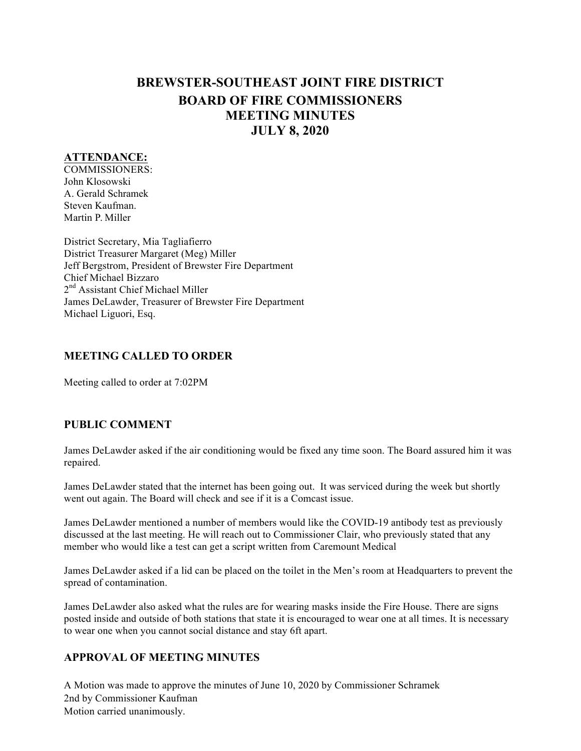# **BREWSTER-SOUTHEAST JOINT FIRE DISTRICT BOARD OF FIRE COMMISSIONERS MEETING MINUTES JULY 8, 2020**

#### **ATTENDANCE:**

COMMISSIONERS: John Klosowski A. Gerald Schramek Steven Kaufman. Martin P. Miller

District Secretary, Mia Tagliafierro District Treasurer Margaret (Meg) Miller Jeff Bergstrom, President of Brewster Fire Department Chief Michael Bizzaro 2<sup>nd</sup> Assistant Chief Michael Miller James DeLawder, Treasurer of Brewster Fire Department Michael Liguori, Esq.

## **MEETING CALLED TO ORDER**

Meeting called to order at 7:02PM

## **PUBLIC COMMENT**

James DeLawder asked if the air conditioning would be fixed any time soon. The Board assured him it was repaired.

James DeLawder stated that the internet has been going out. It was serviced during the week but shortly went out again. The Board will check and see if it is a Comcast issue.

James DeLawder mentioned a number of members would like the COVID-19 antibody test as previously discussed at the last meeting. He will reach out to Commissioner Clair, who previously stated that any member who would like a test can get a script written from Caremount Medical

James DeLawder asked if a lid can be placed on the toilet in the Men's room at Headquarters to prevent the spread of contamination.

James DeLawder also asked what the rules are for wearing masks inside the Fire House. There are signs posted inside and outside of both stations that state it is encouraged to wear one at all times. It is necessary to wear one when you cannot social distance and stay 6ft apart.

## **APPROVAL OF MEETING MINUTES**

A Motion was made to approve the minutes of June 10, 2020 by Commissioner Schramek 2nd by Commissioner Kaufman Motion carried unanimously.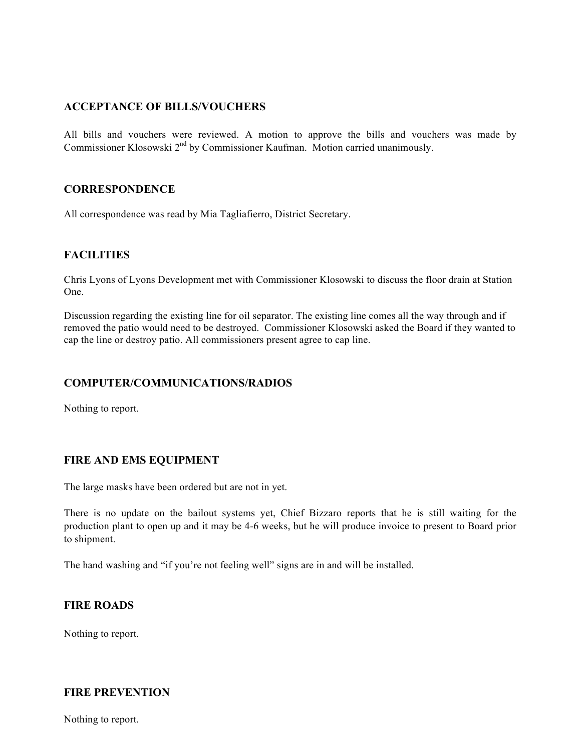## **ACCEPTANCE OF BILLS/VOUCHERS**

All bills and vouchers were reviewed. A motion to approve the bills and vouchers was made by Commissioner Klosowski 2<sup>nd</sup> by Commissioner Kaufman. Motion carried unanimously.

#### **CORRESPONDENCE**

All correspondence was read by Mia Tagliafierro, District Secretary.

#### **FACILITIES**

Chris Lyons of Lyons Development met with Commissioner Klosowski to discuss the floor drain at Station One.

Discussion regarding the existing line for oil separator. The existing line comes all the way through and if removed the patio would need to be destroyed. Commissioner Klosowski asked the Board if they wanted to cap the line or destroy patio. All commissioners present agree to cap line.

#### **COMPUTER/COMMUNICATIONS/RADIOS**

Nothing to report.

## **FIRE AND EMS EQUIPMENT**

The large masks have been ordered but are not in yet.

There is no update on the bailout systems yet, Chief Bizzaro reports that he is still waiting for the production plant to open up and it may be 4-6 weeks, but he will produce invoice to present to Board prior to shipment.

The hand washing and "if you're not feeling well" signs are in and will be installed.

#### **FIRE ROADS**

Nothing to report.

#### **FIRE PREVENTION**

Nothing to report.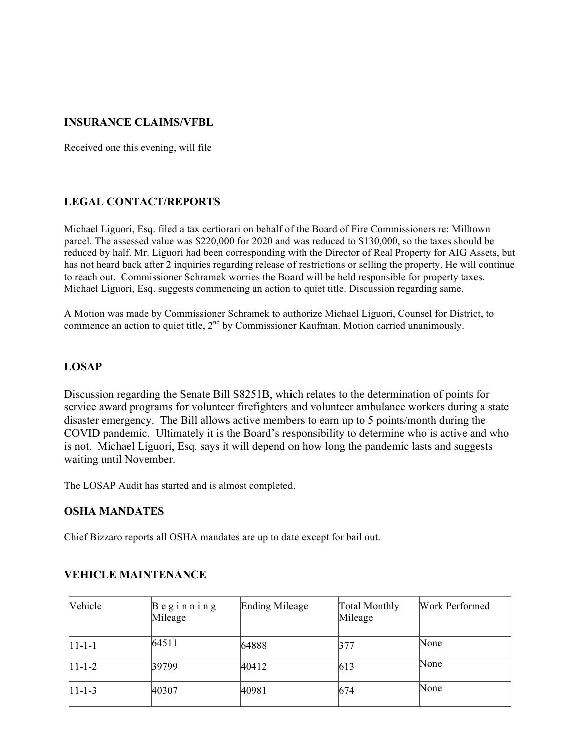## **INSURANCE CLAIMS/VFBL**

Received one this evening, will file

## **LEGAL CONTACT/REPORTS**

Michael Liguori, Esq. filed a tax certiorari on behalf of the Board of Fire Commissioners re: Milltown parcel. The assessed value was \$220,000 for 2020 and was reduced to \$130,000, so the taxes should be reduced by half. Mr. Liguori had been corresponding with the Director of Real Property for AIG Assets, but has not heard back after 2 inquiries regarding release of restrictions or selling the property. He will continue to reach out. Commissioner Schramek worries the Board will be held responsible for property taxes. Michael Liguori, Esq. suggests commencing an action to quiet title. Discussion regarding same.

A Motion was made by Commissioner Schramek to authorize Michael Liguori, Counsel for District, to commence an action to quiet title, 2<sup>nd</sup> by Commissioner Kaufman. Motion carried unanimously.

#### **LOSAP**

Discussion regarding the Senate Bill S8251B, which relates to the determination of points for service award programs for volunteer firefighters and volunteer ambulance workers during a state disaster emergency. The Bill allows active members to earn up to 5 points/month during the COVID pandemic. Ultimately it is the Board's responsibility to determine who is active and who is not. Michael Liguori, Esq. says it will depend on how long the pandemic lasts and suggests waiting until November.

The LOSAP Audit has started and is almost completed.

#### **OSHA MANDATES**

Chief Bizzaro reports all OSHA mandates are up to date except for bail out.

| Vehicle      | $\beta$ eginning<br>Mileage | Ending Mileage | Total Monthly<br>Mileage | Work Performed |
|--------------|-----------------------------|----------------|--------------------------|----------------|
| $11 - 1 - 1$ | 64511                       | 64888          | 377                      | None           |
| $ 11-1-2 $   | 39799                       | 40412          | 613                      | None           |
| $ 11-1-3 $   | 40307                       | 40981          | 674                      | None           |

#### **VEHICLE MAINTENANCE**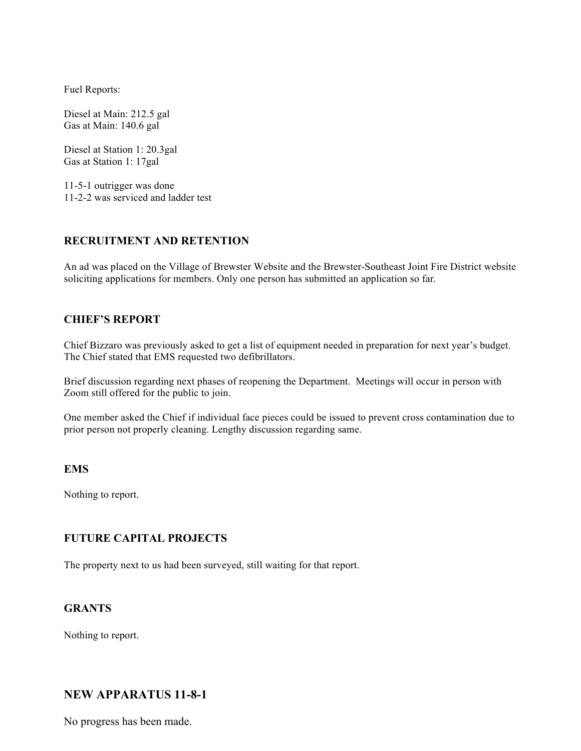Fuel Reports:

Diesel at Main: 212.5 gal Gas at Main: 140.6 gal

Diesel at Station 1: 20.3gal Gas at Station 1: 17gal

11-5-1 outrigger was done 11-2-2 was serviced and ladder test

#### **RECRUITMENT AND RETENTION**

An ad was placed on the Village of Brewster Website and the Brewster-Southeast Joint Fire District website soliciting applications for members. Only one person has submitted an application so far.

#### **CHIEF'S REPORT**

Chief Bizzaro was previously asked to get a list of equipment needed in preparation for next year's budget. The Chief stated that EMS requested two defibrillators.

Brief discussion regarding next phases of reopening the Department. Meetings will occur in person with Zoom still offered for the public to join.

One member asked the Chief if individual face pieces could be issued to prevent cross contamination due to prior person not properly cleaning. Lengthy discussion regarding same.

#### **EMS**

Nothing to report.

#### **FUTURE CAPITAL PROJECTS**

The property next to us had been surveyed, still waiting for that report.

#### **GRANTS**

Nothing to report.

## **NEW APPARATUS 11-8-1**

No progress has been made.